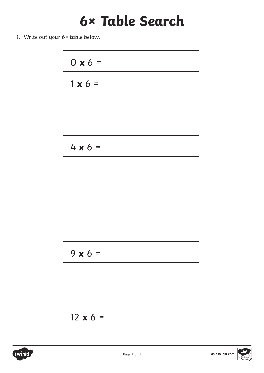### **6× Table Search**

1. Write out your 6× table below.



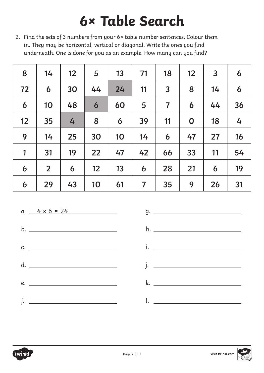## **6× Table Search**

2. Find the sets of 3 numbers from your 6× table number sentences. Colour them in. They may be horizontal, vertical or diagonal. Write the ones you find underneath. One is done for you as an example. How many can you find?

| 8  | 14             | 12 | 5  | 13 | 71                      | 18             | 12          | $\overline{3}$ | 6  |
|----|----------------|----|----|----|-------------------------|----------------|-------------|----------------|----|
| 72 | 6              | 30 | 44 | 24 | 11                      | $\overline{3}$ | 8           | 14             | 6  |
| 6  | 10             | 48 | 6  | 60 | 5                       | $\overline{7}$ | 6           | 44             | 36 |
| 12 | 35             | 4  | 8  | 6  | 39                      | 11             | $\mathbf 0$ | 18             | 4  |
| 9  | 14             | 25 | 30 | 10 | 14                      | 6              | 47          | 27             | 16 |
| 1  | 31             | 19 | 22 | 47 | 42                      | 66             | 33          | 11             | 54 |
| 6  | $\overline{2}$ | 6  | 12 | 13 | 6                       | 28             | 21          | 6              | 19 |
| 6  | 29             | 43 | 10 | 61 | $\overline{\mathbf{7}}$ | 35             | 9           | 26             | 31 |

a.  $4 \times 6 = 24$ b. c. d. e. f.

 $q.$   $q.$ h. i. j. <u>– Johann Johann Johann Johann Johann Johann Johann Johann Johann Johann Johann Johann Johann Johann Johann Johann Johann Johann Johann Johann Johann Johann Johann Johann Johann Johann Johann Johann Johann Johann Johann</u> k. l.

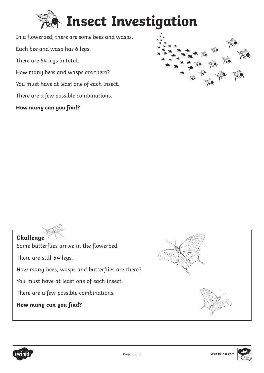

In a flowerbed, there are some bees and wasps. Each bee and wasp has 6 legs. There are 54 legs in total. How many bees and wasps are there? You must have at least one of each insect. There are a few possible combinations.

#### **How many can you find?**







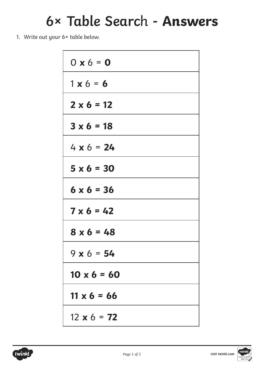### **6× Table Searc**h **- Answers**

1. Write out your 6× table below.

| $0 \times 6 = 0$   |
|--------------------|
| $1 \times 6 = 6$   |
| $2 \times 6 = 12$  |
| $3 \times 6 = 18$  |
| $4 \times 6 = 24$  |
| $5 \times 6 = 30$  |
| $6 \times 6 = 36$  |
| $7 \times 6 = 42$  |
| $8 \times 6 = 48$  |
| $9 \times 6 = 54$  |
| $10 \times 6 = 60$ |
| $11 \times 6 = 66$ |
| $12 \times 6 = 72$ |

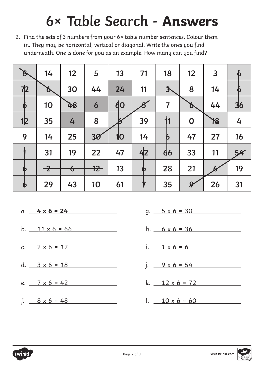## **6× Table Search - Answers**

2. Find the sets of 3 numbers from your 6× table number sentences. Colour them in. They may be horizontal, vertical or diagonal. Write the ones you find underneath. One is done for you as an example. How many can you find?

| $\mathscr{E}$         | 14            | 12                      | 5      | 13        | 71               | 18                      | 12                         | $\overline{3}$ | $\boldsymbol{b}$ |
|-----------------------|---------------|-------------------------|--------|-----------|------------------|-------------------------|----------------------------|----------------|------------------|
| 72                    | Ď.            | 30                      | 44     | 24        | 11               | $\mathbf{3}$            | 8                          | 14             | D                |
| Þ                     | 10            | 48                      | 6      | <b>do</b> |                  | $\overline{\mathbf{7}}$ | Ò                          | 44             | 36               |
| 12                    | 35            | 4                       | 8      |           | 39               | 11                      | $\mathbf 0$                | 18             | 4                |
| 9                     | 14            | 25                      | 30     | 10        | 14               | þ                       | 47                         | 27             | 16               |
|                       | 31            | 19                      | 22     | 47        | 4 <sub>2</sub>   | $\mathbf{d6}$           | 33                         | 11             | 54               |
| 6                     | $\rightarrow$ | $\overline{\mathbf{b}}$ | $12 -$ | 13        | O                | 28                      | 21                         |                | 19               |
| $\boldsymbol{\theta}$ | 29            | 43                      | 10     | 61        | $\boldsymbol{V}$ | 35                      | $\boldsymbol{\mathcal{G}}$ | 26             | 31               |

- a. **4 x 6 = 24**
- b.  $11 \times 6 = 66$
- c.  $2 \times 6 = 12$
- d.  $3 \times 6 = 18$
- e.  $7 \times 6 = 42$
- f.  $8 \times 6 = 48$
- $g. 5 \times 6 = 30$  $h.$  6 x 6 = 36 i.  $1 \times 6 = 6$ j.  $9 \times 6 = 54$ k.  $12 \times 6 = 72$
- $l.$   $10 \times 6 = 60$